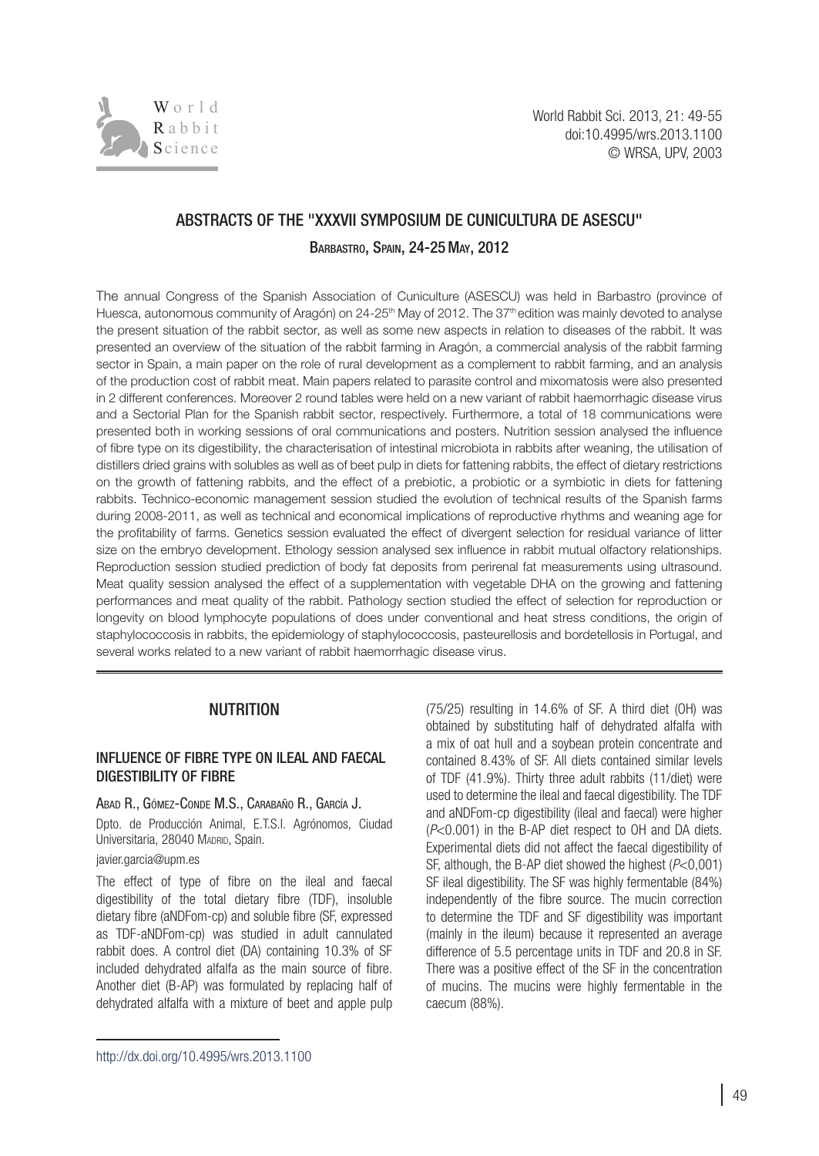

# Abstracts of the "XXXVII Symposium de Cunicultura de asescu"

Barbastro, Spain, 24-25May, 2012

The annual Congress of the Spanish Association of Cuniculture (ASESCU) was held in Barbastro (province of Huesca, autonomous community of Aragón) on 24-25<sup>th</sup> May of 2012. The 37<sup>th</sup> edition was mainly devoted to analyse the present situation of the rabbit sector, as well as some new aspects in relation to diseases of the rabbit. It was presented an overview of the situation of the rabbit farming in Aragón, a commercial analysis of the rabbit farming sector in Spain, a main paper on the role of rural development as a complement to rabbit farming, and an analysis of the production cost of rabbit meat. Main papers related to parasite control and mixomatosis were also presented in 2 different conferences. Moreover 2 round tables were held on a new variant of rabbit haemorrhagic disease virus and a Sectorial Plan for the Spanish rabbit sector, respectively. Furthermore, a total of 18 communications were presented both in working sessions of oral communications and posters. Nutrition session analysed the influence of fibre type on its digestibility, the characterisation of intestinal microbiota in rabbits after weaning, the utilisation of distillers dried grains with solubles as well as of beet pulp in diets for fattening rabbits, the effect of dietary restrictions on the growth of fattening rabbits, and the effect of a prebiotic, a probiotic or a symbiotic in diets for fattening rabbits. Technico-economic management session studied the evolution of technical results of the Spanish farms during 2008-2011, as well as technical and economical implications of reproductive rhythms and weaning age for the profitability of farms. Genetics session evaluated the effect of divergent selection for residual variance of litter size on the embryo development. Ethology session analysed sex influence in rabbit mutual olfactory relationships. Reproduction session studied prediction of body fat deposits from perirenal fat measurements using ultrasound. Meat quality session analysed the effect of a supplementation with vegetable DHA on the growing and fattening performances and meat quality of the rabbit. Pathology section studied the effect of selection for reproduction or longevity on blood lymphocyte populations of does under conventional and heat stress conditions, the origin of staphylococcosis in rabbits, the epidemiology of staphylococcosis, pasteurellosis and bordetellosis in Portugal, and several works related to a new variant of rabbit haemorrhagic disease virus.

## NUTRITION

### Influence of fibre type on ileal and faecal digestibility of fibre

#### Abad R., Gómez-Conde M.S., Carabaño R., García J.

Dpto. de Producción Animal, E.T.S.I. Agrónomos, Ciudad Universitaria, 28040 MADRID, Spain.

#### javier.garcia@upm.es

The effect of type of fibre on the ileal and faecal digestibility of the total dietary fibre (TDF), insoluble dietary fibre (aNDFom-cp) and soluble fibre (SF, expressed as TDF-aNDFom-cp) was studied in adult cannulated rabbit does. A control diet (DA) containing 10.3% of SF included dehydrated alfalfa as the main source of fibre. Another diet (B-AP) was formulated by replacing half of dehydrated alfalfa with a mixture of beet and apple pulp (75/25) resulting in 14.6% of SF. A third diet (OH) was obtained by substituting half of dehydrated alfalfa with a mix of oat hull and a soybean protein concentrate and contained 8.43% of SF. All diets contained similar levels of TDF (41.9%). Thirty three adult rabbits (11/diet) were used to determine the ileal and faecal digestibility. The TDF and aNDFom-cp digestibility (ileal and faecal) were higher (*P*<0.001) in the B-AP diet respect to OH and DA diets. Experimental diets did not affect the faecal digestibility of SF, although, the B-AP diet showed the highest (*P*<0,001) SF ileal digestibility. The SF was highly fermentable (84%) independently of the fibre source. The mucin correction to determine the TDF and SF digestibility was important (mainly in the ileum) because it represented an average difference of 5.5 percentage units in TDF and 20.8 in SF. There was a positive effect of the SF in the concentration of mucins. The mucins were highly fermentable in the caecum (88%).

[http://dx.doi.org/10.4995/wrs.2013.1](http://dx.doi.org/10.4995/wrs.2013.1100)100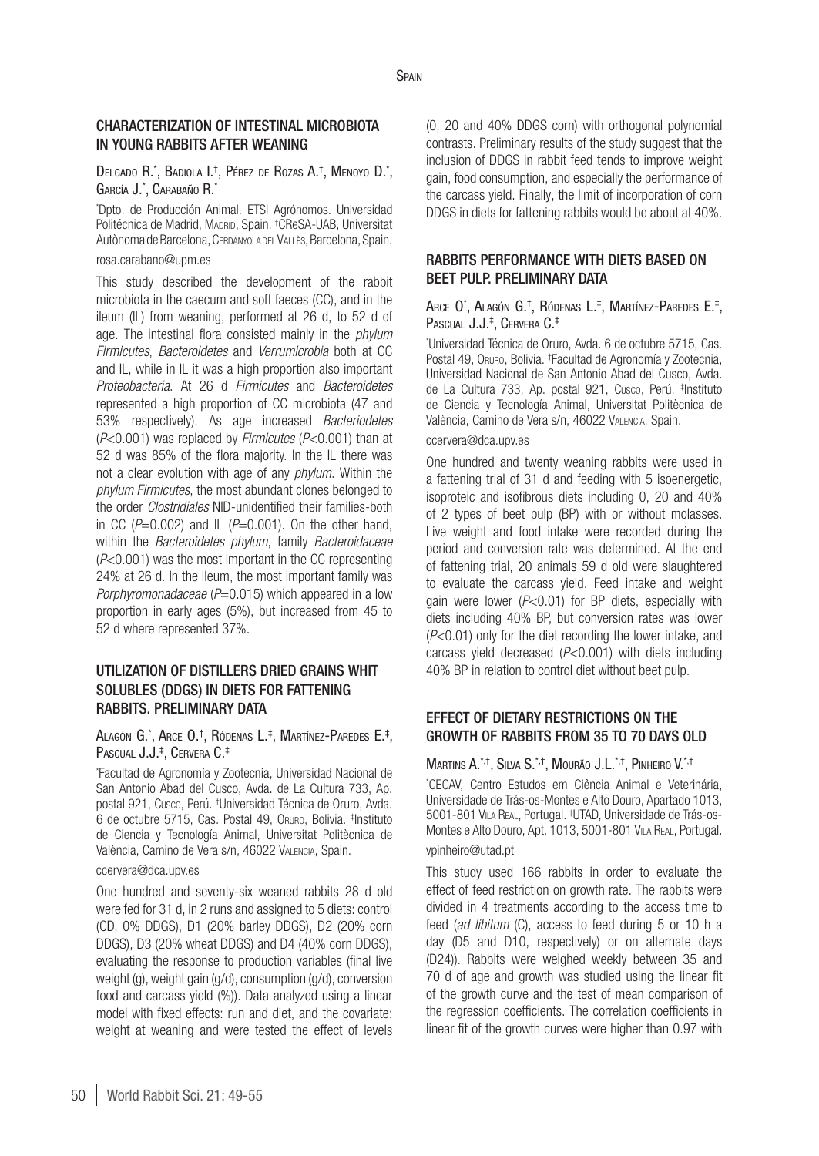### Characterization of intestinal microbiota in young rabbits after weaning

Delgado R.\*, Badiola I.†, Pérez de Rozas A.†, Menoyo D.\*, García J.\* , Carabaño R.\*

\* Dpto. de Producción Animal. ETSI Agrónomos. Universidad Politécnica de Madrid, Madrid, Spain. † CReSA-UAB, Universitat Autònoma de Barcelona, Cerdanyola del Vallès, Barcelona, Spain.

#### rosa.carabano@upm.es

This study described the development of the rabbit microbiota in the caecum and soft faeces (CC), and in the ileum (IL) from weaning, performed at 26 d, to 52 d of age. The intestinal flora consisted mainly in the *phylum Firmicutes*, *Bacteroidetes* and *Verrumicrobia* both at CC and IL, while in IL it was a high proportion also important *Proteobacteria*. At 26 d *Firmicutes* and *Bacteroidetes* represented a high proportion of CC microbiota (47 and 53% respectively). As age increased *Bacteriodetes*  (*P*<0.001) was replaced by *Firmicutes* (*P*<0.001) than at 52 d was 85% of the flora majority. In the IL there was not a clear evolution with age of any *phylum*. Within the *phylum Firmicutes*, the most abundant clones belonged to the order *Clostridiales* NID-unidentified their families-both in CC  $(P=0.002)$  and  $IL (P=0.001)$ . On the other hand, within the *Bacteroidetes phylum*, family *Bacteroidaceae* (*P*<0.001) was the most important in the CC representing 24% at 26 d. In the ileum, the most important family was *Porphyromonadaceae* ( $P=0.015$ ) which appeared in a low proportion in early ages (5%), but increased from 45 to 52 d where represented 37%.

### Utilization of distillers dried grains whit solubles (DDGS) in diets for fattening rabbits. Preliminary data

#### Alagón G.\*, Arce O.†, Ródenas L.‡, Martínez-Paredes E.‡, Pascual J.J.‡ , Cervera C.‡

\* Facultad de Agronomía y Zootecnia, Universidad Nacional de San Antonio Abad del Cusco, Avda. de La Cultura 733, Ap. postal 921, Cusco, Perú. † Universidad Técnica de Oruro, Avda. 6 de octubre 5715, Cas. Postal 49, Oruro, Bolivia. ‡ Instituto de Ciencia y Tecnología Animal, Universitat Politècnica de València, Camino de Vera s/n, 46022 Valencia, Spain.

#### [ccervera@dca.upv.es](mailto:ccervera@dca.upv.es)

One hundred and seventy-six weaned rabbits 28 d old were fed for 31 d, in 2 runs and assigned to 5 diets: control (CD, 0% DDGS), D1 (20% barley DDGS), D2 (20% corn DDGS), D3 (20% wheat DDGS) and D4 (40% corn DDGS), evaluating the response to production variables (final live weight (g), weight gain (g/d), consumption (g/d), conversion food and carcass yield (%)). Data analyzed using a linear model with fixed effects: run and diet, and the covariate: weight at weaning and were tested the effect of levels (0, 20 and 40% DDGS corn) with orthogonal polynomial contrasts. Preliminary results of the study suggest that the inclusion of DDGS in rabbit feed tends to improve weight gain, food consumption, and especially the performance of the carcass yield. Finally, the limit of incorporation of corn DDGS in diets for fattening rabbits would be about at 40%.

### Rabbits performance with diets based on beet pulp. Preliminary data

#### Arce O\* , Alagón G.† , Ródenas L. ‡ , Martínez-Paredes E. ‡ , Pascual J.J.‡ , Cervera C.‡

\* Universidad Técnica de Oruro, Avda. 6 de octubre 5715, Cas. Postal 49, Oruro, Bolivia. † Facultad de Agronomía y Zootecnia, Universidad Nacional de San Antonio Abad del Cusco, Avda. de La Cultura 733, Ap. postal 921, Cusco, Perú. ‡ Instituto de Ciencia y Tecnología Animal, Universitat Politècnica de València, Camino de Vera s/n, 46022 Valencia, Spain.

#### [ccervera@dca.upv.es](mailto:ccervera@dca.upv.es)

One hundred and twenty weaning rabbits were used in a fattening trial of 31 d and feeding with 5 isoenergetic, isoproteic and isofibrous diets including 0, 20 and 40% of 2 types of beet pulp (BP) with or without molasses. Live weight and food intake were recorded during the period and conversion rate was determined. At the end of fattening trial, 20 animals 59 d old were slaughtered to evaluate the carcass yield. Feed intake and weight gain were lower (*P*<0.01) for BP diets, especially with diets including 40% BP, but conversion rates was lower (*P*<0.01) only for the diet recording the lower intake, and carcass yield decreased (*P*<0.001) with diets including 40% BP in relation to control diet without beet pulp.

## Effect of dietary restrictions on the growth of rabbits from 35 to 70 days old

### Martins A.\*,†, Silva S.\*,†, Mourão J.L. \*,†, Pinheiro V. \*,†

\* CECAV, Centro Estudos em Ciência Animal e Veterinária, Universidade de Trás-os-Montes e Alto Douro, Apartado 1013, 5001-801 Vila Real, Portugal. † UTAD, Universidade de Trás-os-Montes e Alto Douro, Apt. 1013, 5001-801 Vila Real, Portugal.

### vpinheiro@utad.pt

This study used 166 rabbits in order to evaluate the effect of feed restriction on growth rate. The rabbits were divided in 4 treatments according to the access time to feed (*ad libitum* (C), access to feed during 5 or 10 h a day (D5 and D10, respectively) or on alternate days (D24)). Rabbits were weighed weekly between 35 and 70 d of age and growth was studied using the linear fit of the growth curve and the test of mean comparison of the regression coefficients. The correlation coefficients in linear fit of the growth curves were higher than 0.97 with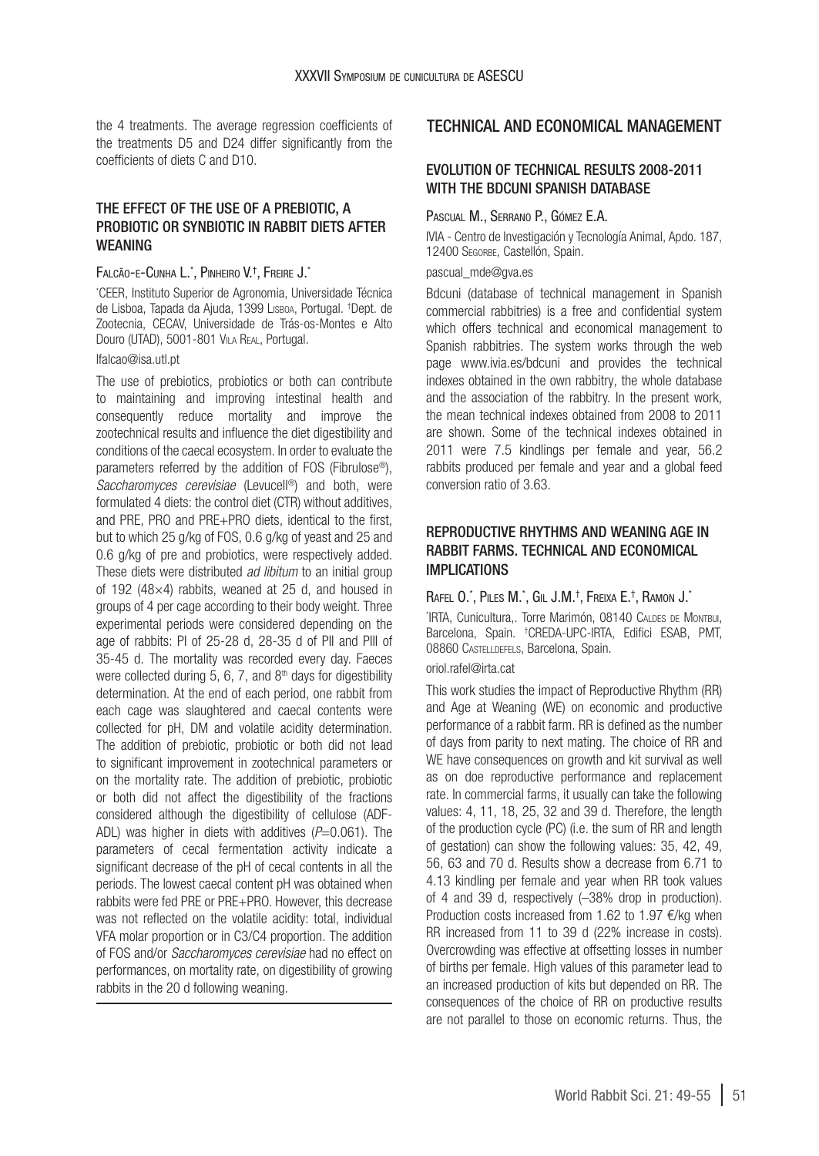the 4 treatments. The average regression coefficients of the treatments D5 and D24 differ significantly from the coefficients of diets C and D10.

### The effect of the use of a prebiotic, a probiotic or synbiotic in rabbit diets after **WEANING**

#### Falcão-e-Cunha L.\*, Pinheiro V.†, Freire J.\*

\* CEER, Instituto Superior de Agronomia, Universidade Técnica de Lisboa, Tapada da Ajuda, 1399 Lisboa, Portugal. † Dept. de Zootecnia, CECAV, Universidade de Trás-os-Montes e Alto Douro (UTAD), 5001-801 Vila Real, Portugal.

### lfalcao@isa.utl.pt

The use of prebiotics, probiotics or both can contribute to maintaining and improving intestinal health and consequently reduce mortality and improve the zootechnical results and influence the diet digestibility and conditions of the caecal ecosystem. In order to evaluate the parameters referred by the addition of FOS (Fibrulose®), *Saccharomyces cerevisiae* (Levucell®) and both, were formulated 4 diets: the control diet (CTR) without additives, and PRE, PRO and PRE+PRO diets, identical to the first, but to which 25 g/kg of FOS, 0.6 g/kg of yeast and 25 and 0.6 g/kg of pre and probiotics, were respectively added. These diets were distributed *ad libitum* to an initial group of 192 (48 $\times$ 4) rabbits, weaned at 25 d, and housed in groups of 4 per cage according to their body weight. Three experimental periods were considered depending on the age of rabbits: PI of 25-28 d, 28-35 d of PII and PIII of 35-45 d. The mortality was recorded every day. Faeces were collected during  $5, 6, 7$ , and  $8<sup>th</sup>$  days for digestibility determination. At the end of each period, one rabbit from each cage was slaughtered and caecal contents were collected for pH, DM and volatile acidity determination. The addition of prebiotic, probiotic or both did not lead to significant improvement in zootechnical parameters or on the mortality rate. The addition of prebiotic, probiotic or both did not affect the digestibility of the fractions considered although the digestibility of cellulose (ADF-ADL) was higher in diets with additives (*P*=0.061). The parameters of cecal fermentation activity indicate a significant decrease of the pH of cecal contents in all the periods. The lowest caecal content pH was obtained when rabbits were fed PRE or PRE+PRO. However, this decrease was not reflected on the volatile acidity: total, individual VFA molar proportion or in C3/C4 proportion. The addition of FOS and/or *Saccharomyces cerevisiae* had no effect on performances, on mortality rate, on digestibility of growing rabbits in the 20 d following weaning.

## TECHNICAL AND ECONOMICAL MANAGEMENT

### Evolution of technical results 2008-2011 WITH THE BDCUNI SPANISH DATABASE

### Pascual M., Serrano P., Gómez E.A.

IVIA - Centro de Investigación y Tecnología Animal, Apdo. 187, 12400 Segorbe, Castellón, Spain.

#### pascual\_mde@gva.es

Bdcuni (database of technical management in Spanish commercial rabbitries) is a free and confidential system which offers technical and economical management to Spanish rabbitries. The system works through the web page [www.ivia.es/bdcuni](http://www.ivia.es/bdcuni) and provides the technical indexes obtained in the own rabbitry, the whole database and the association of the rabbitry. In the present work, the mean technical indexes obtained from 2008 to 2011 are shown. Some of the technical indexes obtained in 2011 were 7.5 kindlings per female and year, 56.2 rabbits produced per female and year and a global feed conversion ratio of 3.63.

## Reproductive rhythms and weaning age in rabbit farms. Technical and economical implications

### Rafel O.\*, Piles M.\*, Gil J.M.†, Freixa E.†, Ramon J.\*

\* IRTA, Cunicultura,. Torre Marimón, 08140 Caldes de Montbui, Barcelona, Spain. † CREDA-UPC-IRTA, Edifici ESAB, PMT, 08860 Castelldefels, Barcelona, Spain.

#### oriol.rafel@irta.cat

This work studies the impact of Reproductive Rhythm (RR) and Age at Weaning (WE) on economic and productive performance of a rabbit farm. RR is defined as the number of days from parity to next mating. The choice of RR and WE have consequences on growth and kit survival as well as on doe reproductive performance and replacement rate. In commercial farms, it usually can take the following values: 4, 11, 18, 25, 32 and 39 d. Therefore, the length of the production cycle (PC) (i.e. the sum of RR and length of gestation) can show the following values: 35, 42, 49, 56, 63 and 70 d. Results show a decrease from 6.71 to 4.13 kindling per female and year when RR took values of 4 and 39 d, respectively (–38% drop in production). Production costs increased from 1.62 to 1.97 €/kg when RR increased from 11 to 39 d (22% increase in costs). Overcrowding was effective at offsetting losses in number of births per female. High values of this parameter lead to an increased production of kits but depended on RR. The consequences of the choice of RR on productive results are not parallel to those on economic returns. Thus, the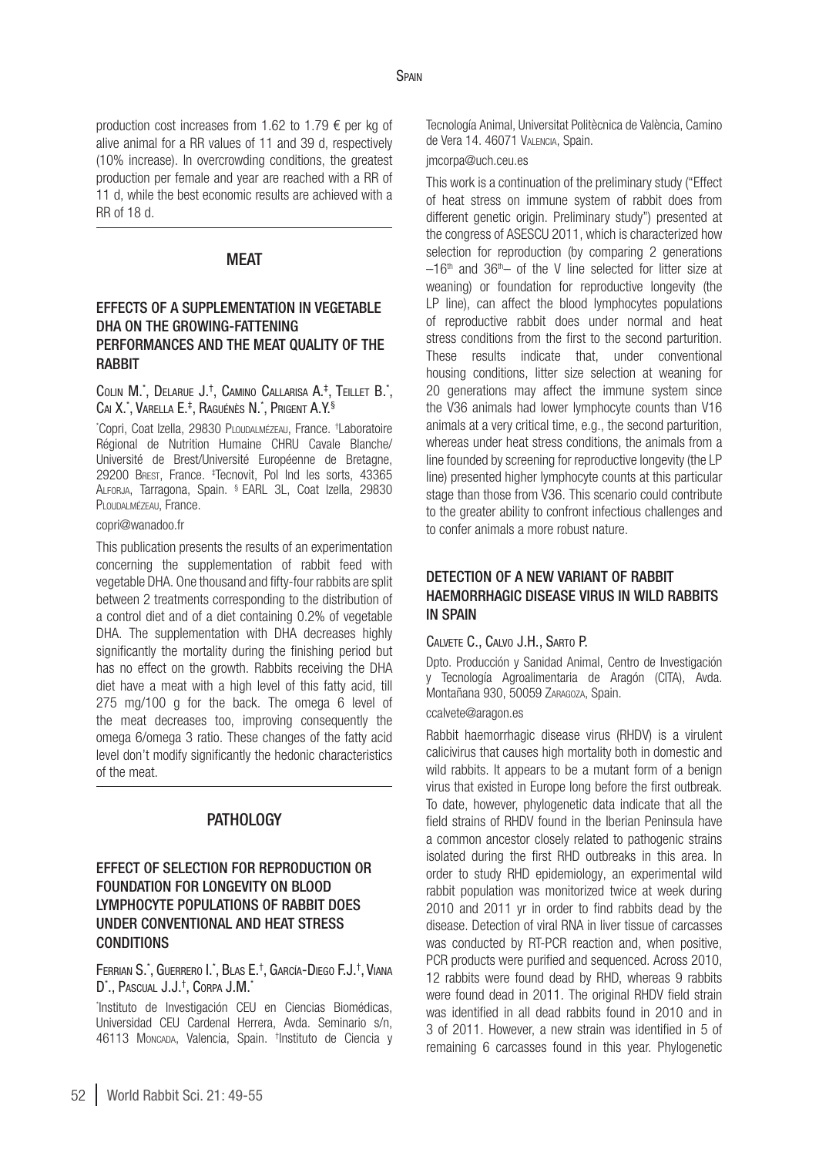production cost increases from 1.62 to 1.79 € per kg of alive animal for a RR values of 11 and 39 d, respectively (10% increase). In overcrowding conditions, the greatest production per female and year are reached with a RR of 11 d, while the best economic results are achieved with a RR of 18 d.

### MEAT

### Effects of a supplementation in vegetable DHA on the growing-fattening performances and the meat quality of the **RABBIT**

#### Colin M.\*, Delarue J.†, Camino Callarisa A.‡, Teillet B.\*, Cai X.\*, Varella E.‡, Raguénès N.\*, Prigent A.Y.§

\* Copri, Coat Izella, 29830 Ploudalmézeau, France. † Laboratoire Régional de Nutrition Humaine CHRU Cavale Blanche/ Université de Brest/Université Européenne de Bretagne, 29200 Brest, France. ‡ Tecnovit, Pol Ind les sorts, 43365 ALFORJA, Tarragona, Spain. § EARL 3L, Coat Izella, 29830 Ploudalmézeau, France.

#### [copri@wanadoo.fr](mailto:copri@wanadoo.fr)

This publication presents the results of an experimentation concerning the supplementation of rabbit feed with vegetable DHA. One thousand and fifty-four rabbits are split between 2 treatments corresponding to the distribution of a control diet and of a diet containing 0.2% of vegetable DHA. The supplementation with DHA decreases highly significantly the mortality during the finishing period but has no effect on the growth. Rabbits receiving the DHA diet have a meat with a high level of this fatty acid, till 275 mg/100 g for the back. The omega 6 level of the meat decreases too, improving consequently the omega 6/omega 3 ratio. These changes of the fatty acid level don't modify significantly the hedonic characteristics of the meat.

### PATHOLOGY

## Effect of selection for reproduction or foundation for longevity on blood lymphocyte populations of rabbit does under conventional and heat stress **CONDITIONS**

#### Ferrian S.\*, Guerrero I.\*, Blas E.†, García-Diego F.J.†, Vian. D»., Pascual J.J.‡, Corpa J.M.\*

\* Instituto de Investigación CEU en Ciencias Biomédicas, Universidad CEU Cardenal Herrera, Avda. Seminario s/n, 46113 Moncada, Valencia, Spain. † Instituto de Ciencia y

Tecnología Animal, Universitat Politècnica de València, Camino de Vera 14. 46071 Valencia, Spain.

#### jmcorpa@uch.ceu.es

This work is a continuation of the preliminary study ("Effect of heat stress on immune system of rabbit does from different genetic origin. Preliminary study") presented at the congress of ASESCU 2011, which is characterized how selection for reproduction (by comparing 2 generations  $-16$ <sup>th</sup> and 36<sup>th</sup>– of the V line selected for litter size at weaning) or foundation for reproductive longevity (the LP line), can affect the blood lymphocytes populations of reproductive rabbit does under normal and heat stress conditions from the first to the second parturition. These results indicate that, under conventional housing conditions, litter size selection at weaning for 20 generations may affect the immune system since the V36 animals had lower lymphocyte counts than V16 animals at a very critical time, e.g., the second parturition, whereas under heat stress conditions, the animals from a line founded by screening for reproductive longevity (the LP line) presented higher lymphocyte counts at this particular stage than those from V36. This scenario could contribute to the greater ability to confront infectious challenges and to confer animals a more robust nature.

## DETECTION OF A NEW VARIANT OF RABBIT haemorrhagic disease virus in wild rabbits in Spain

#### Calvete C., Calvo J.H., Sarto P.

Dpto. Producción y Sanidad Animal, Centro de Investigación y Tecnología Agroalimentaria de Aragón (CITA), Avda. Montañana 930, 50059 Zaragoza, Spain.

#### ccalvete@aragon.es

Rabbit haemorrhagic disease virus (RHDV) is a virulent calicivirus that causes high mortality both in domestic and wild rabbits. It appears to be a mutant form of a benign virus that existed in Europe long before the first outbreak. To date, however, phylogenetic data indicate that all the field strains of RHDV found in the Iberian Peninsula have a common ancestor closely related to pathogenic strains isolated during the first RHD outbreaks in this area. In order to study RHD epidemiology, an experimental wild rabbit population was monitorized twice at week during 2010 and 2011 yr in order to find rabbits dead by the disease. Detection of viral RNA in liver tissue of carcasses was conducted by RT-PCR reaction and, when positive, PCR products were purified and sequenced. Across 2010, 12 rabbits were found dead by RHD, whereas 9 rabbits were found dead in 2011. The original RHDV field strain was identified in all dead rabbits found in 2010 and in 3 of 2011. However, a new strain was identified in 5 of remaining 6 carcasses found in this year. Phylogenetic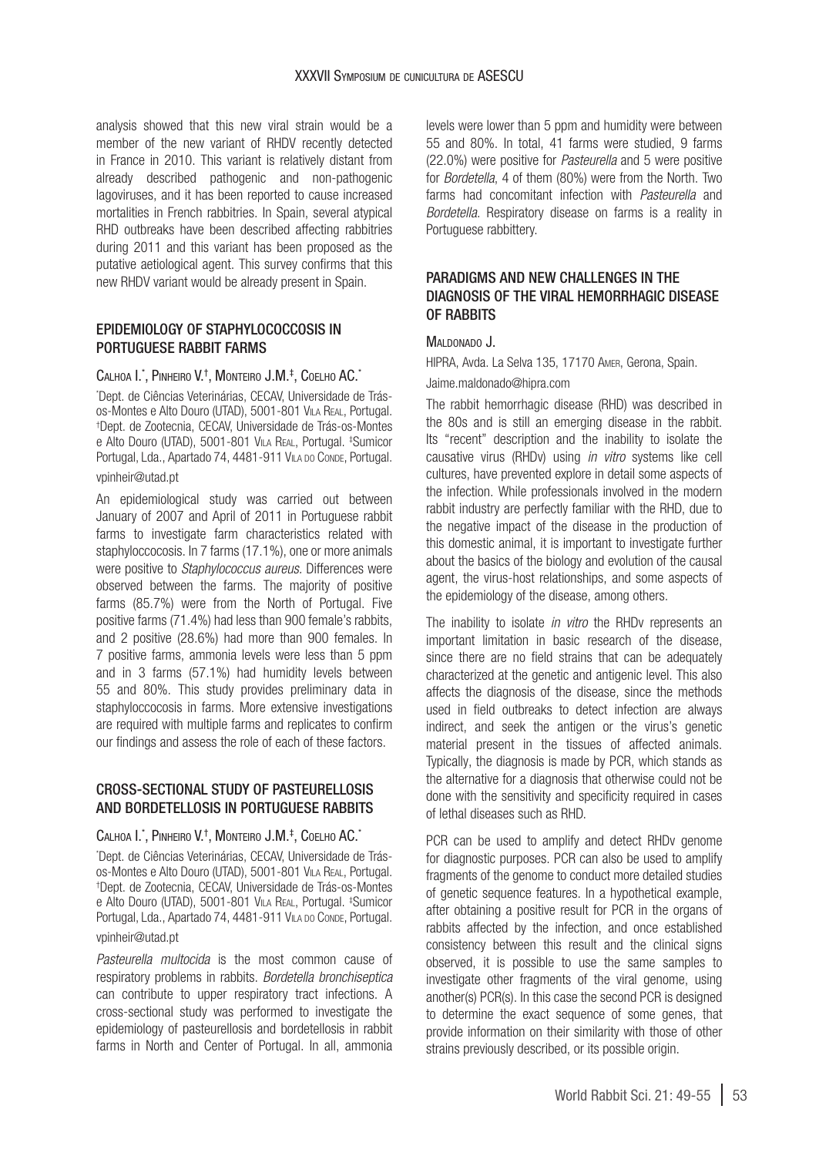analysis showed that this new viral strain would be a member of the new variant of RHDV recently detected in France in 2010. This variant is relatively distant from already described pathogenic and non-pathogenic lagoviruses, and it has been reported to cause increased mortalities in French rabbitries. In Spain, several atypical RHD outbreaks have been described affecting rabbitries during 2011 and this variant has been proposed as the putative aetiological agent. This survey confirms that this new RHDV variant would be already present in Spain.

### Epidemiology of staphylococcosis in PORTUGUESE RABBIT FARMS

#### $C$ alhoa I.\*, Pinheiro V.†, Monteiro J.M.‡, Coelho AC.\*

\* Dept. de Ciências Veterinárias, CECAV, Universidade de Trásos-Montes e Alto Douro (UTAD), 5001-801 Vila Real, Portugal. † Dept. de Zootecnia, CECAV, Universidade de Trás-os-Montes e Alto Douro (UTAD), 5001-801 Vila Real, Portugal. ‡ Sumicor Portugal, Lda., Apartado 74, 4481-911 VILA DO CONDE, Portugal. vpinheir@utad.pt

An epidemiological study was carried out between January of 2007 and April of 2011 in Portuguese rabbit farms to investigate farm characteristics related with staphyloccocosis. In 7 farms (17.1%), one or more animals were positive to *Staphylococcus aureus.* Differences were observed between the farms. The majority of positive farms (85.7%) were from the North of Portugal. Five positive farms (71.4%) had less than 900 female's rabbits, and 2 positive (28.6%) had more than 900 females. In 7 positive farms, ammonia levels were less than 5 ppm and in 3 farms (57.1%) had humidity levels between 55 and 80%. This study provides preliminary data in staphyloccocosis in farms. More extensive investigations are required with multiple farms and replicates to confirm our findings and assess the role of each of these factors.

#### Cross-sectional study of pasteurellosis and bordetellosis in Portuguese rabbits

#### $\,$ Calhoa I. $^*$ , Pinheiro V.†, Monteiro J.M.‡, Coelho AC. $^*$

\* Dept. de Ciências Veterinárias, CECAV, Universidade de Trásos-Montes e Alto Douro (UTAD), 5001-801 Vila Real, Portugal. † Dept. de Zootecnia, CECAV, Universidade de Trás-os-Montes e Alto Douro (UTAD), 5001-801 Vila Real, Portugal. ‡ Sumicor Portugal, Lda., Apartado 74, 4481-911 Vila no Conne, Portugal. vpinheir@utad.pt

*Pasteurella multocida* is the most common cause of respiratory problems in rabbits. *Bordetella bronchiseptica* can contribute to upper respiratory tract infections. A cross-sectional study was performed to investigate the epidemiology of pasteurellosis and bordetellosis in rabbit farms in North and Center of Portugal. In all, ammonia

levels were lower than 5 ppm and humidity were between 55 and 80%. In total, 41 farms were studied, 9 farms (22.0%) were positive for *Pasteurella* and 5 were positive for *Bordetella*, 4 of them (80%) were from the North. Two farms had concomitant infection with *Pasteurella* and *Bordetella*. Respiratory disease on farms is a reality in Portuguese rabbittery.

## PARADIGMS AND NEW CHALLENGES IN THE diagnosis of the viral hemorrhagic disease OF RABBITS

#### MALDONADO J.

Hipra, Avda. La Selva 135, 17170 Amer, Gerona, Spain. [Jaime.maldonado@hipra.com](mailto:Jaime.maldonado@hipra.com)

The rabbit hemorrhagic disease (RHD) was described in the 80s and is still an emerging disease in the rabbit. Its "recent" description and the inability to isolate the causative virus (RHDv) using *in vitro* systems like cell cultures, have prevented explore in detail some aspects of the infection. While professionals involved in the modern rabbit industry are perfectly familiar with the RHD, due to the negative impact of the disease in the production of this domestic animal, it is important to investigate further about the basics of the biology and evolution of the causal agent, the virus-host relationships, and some aspects of the epidemiology of the disease, among others.

The inability to isolate *in vitro* the RHDv represents an important limitation in basic research of the disease, since there are no field strains that can be adequately characterized at the genetic and antigenic level. This also affects the diagnosis of the disease, since the methods used in field outbreaks to detect infection are always indirect, and seek the antigen or the virus's genetic material present in the tissues of affected animals. Typically, the diagnosis is made by PCR, which stands as the alternative for a diagnosis that otherwise could not be done with the sensitivity and specificity required in cases of lethal diseases such as RHD.

PCR can be used to amplify and detect RHDv genome for diagnostic purposes. PCR can also be used to amplify fragments of the genome to conduct more detailed studies of genetic sequence features. In a hypothetical example, after obtaining a positive result for PCR in the organs of rabbits affected by the infection, and once established consistency between this result and the clinical signs observed, it is possible to use the same samples to investigate other fragments of the viral genome, using another(s) PCR(s). In this case the second PCR is designed to determine the exact sequence of some genes, that provide information on their similarity with those of other strains previously described, or its possible origin.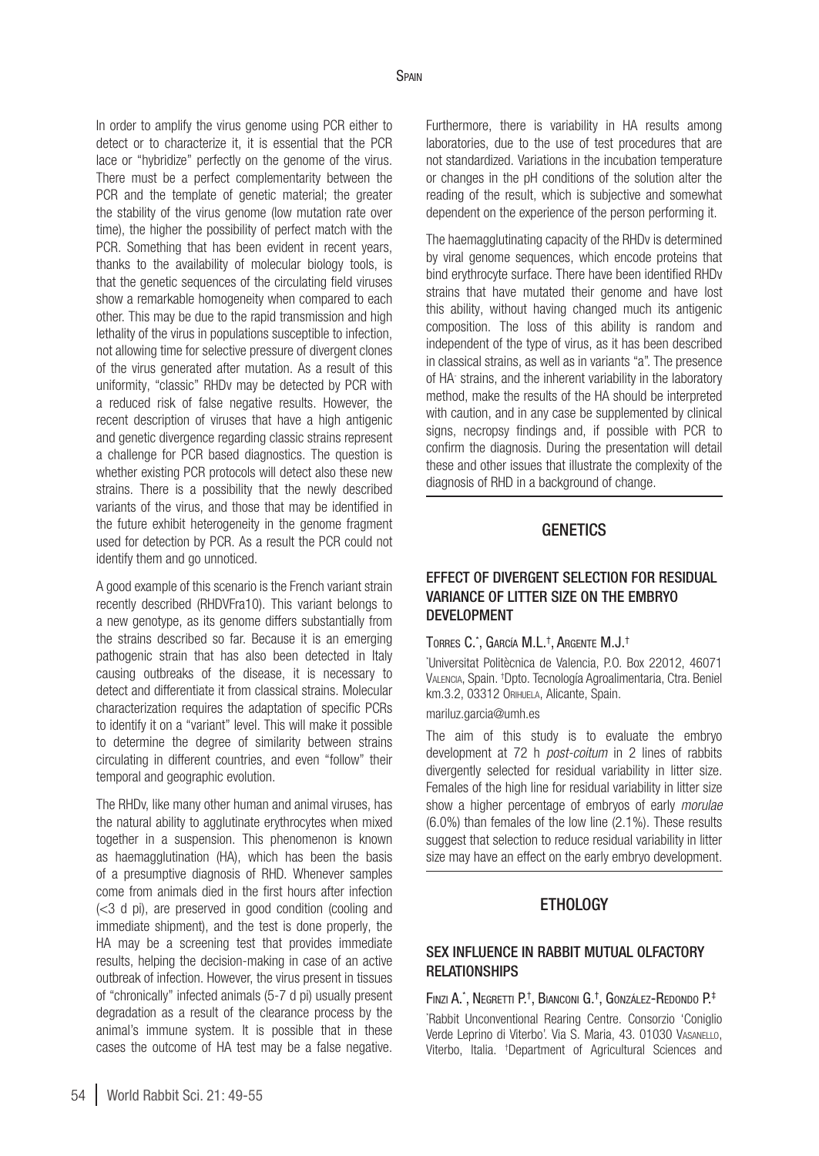In order to amplify the virus genome using PCR either to detect or to characterize it, it is essential that the PCR lace or "hybridize" perfectly on the genome of the virus. There must be a perfect complementarity between the PCR and the template of genetic material; the greater the stability of the virus genome (low mutation rate over time), the higher the possibility of perfect match with the PCR. Something that has been evident in recent years, thanks to the availability of molecular biology tools, is that the genetic sequences of the circulating field viruses show a remarkable homogeneity when compared to each other. This may be due to the rapid transmission and high lethality of the virus in populations susceptible to infection, not allowing time for selective pressure of divergent clones of the virus generated after mutation. As a result of this uniformity, "classic" RHDv may be detected by PCR with a reduced risk of false negative results. However, the recent description of viruses that have a high antigenic and genetic divergence regarding classic strains represent a challenge for PCR based diagnostics. The question is whether existing PCR protocols will detect also these new strains. There is a possibility that the newly described variants of the virus, and those that may be identified in the future exhibit heterogeneity in the genome fragment used for detection by PCR. As a result the PCR could not identify them and go unnoticed.

A good example of this scenario is the French variant strain recently described (RHDVFra10). This variant belongs to a new genotype, as its genome differs substantially from the strains described so far. Because it is an emerging pathogenic strain that has also been detected in Italy causing outbreaks of the disease, it is necessary to detect and differentiate it from classical strains. Molecular characterization requires the adaptation of specific PCRs to identify it on a "variant" level. This will make it possible to determine the degree of similarity between strains circulating in different countries, and even "follow" their temporal and geographic evolution.

The RHDv, like many other human and animal viruses, has the natural ability to agglutinate erythrocytes when mixed together in a suspension. This phenomenon is known as haemagglutination (HA), which has been the basis of a presumptive diagnosis of RHD. Whenever samples come from animals died in the first hours after infection (<3 d pi), are preserved in good condition (cooling and immediate shipment), and the test is done properly, the HA may be a screening test that provides immediate results, helping the decision-making in case of an active outbreak of infection. However, the virus present in tissues of "chronically" infected animals (5-7 d pi) usually present degradation as a result of the clearance process by the animal's immune system. It is possible that in these cases the outcome of HA test may be a false negative.

Furthermore, there is variability in HA results among laboratories, due to the use of test procedures that are not standardized. Variations in the incubation temperature or changes in the pH conditions of the solution alter the reading of the result, which is subjective and somewhat dependent on the experience of the person performing it.

The haemagglutinating capacity of the RHDv is determined by viral genome sequences, which encode proteins that bind erythrocyte surface. There have been identified RHDv strains that have mutated their genome and have lost this ability, without having changed much its antigenic composition. The loss of this ability is random and independent of the type of virus, as it has been described in classical strains, as well as in variants "a". The presence of HA- strains, and the inherent variability in the laboratory method, make the results of the HA should be interpreted with caution, and in any case be supplemented by clinical signs, necropsy findings and, if possible with PCR to confirm the diagnosis. During the presentation will detail these and other issues that illustrate the complexity of the diagnosis of RHD in a background of change.

## **GENETICS**

## Effect of divergent selection for residual variance of litter size on the embryo development

#### Torres C.\* , García M.L. † , Argente M.J.†

\* Universitat Politècnica de Valencia, P.O. Box 22012, 46071 Valencia, Spain. † Dpto. Tecnología Agroalimentaria, Ctra. Beniel km.3.2, 03312 Orihuela, Alicante, Spain.

[mariluz.garcia@umh.es](mailto:mariluz.garcia@umh.es)

The aim of this study is to evaluate the embryo development at 72 h *post-coitum* in 2 lines of rabbits divergently selected for residual variability in litter size. Females of the high line for residual variability in litter size show a higher percentage of embryos of early *morulae* (6.0%) than females of the low line (2.1%). These results suggest that selection to reduce residual variability in litter size may have an effect on the early embryo development.

## ETHOLOGY

### Sex influence in rabbit mutual olfactory **RELATIONSHIPS**

Finzi A.\* , Negretti P.† , Bianconi G.† , González-Redondo P.‡

\* Rabbit Unconventional Rearing Centre. Consorzio 'Coniglio Verde Leprino di Viterbo'. Via S. Maria, 43. 01030 Vasanello, Viterbo, Italia. † Department of Agricultural Sciences and